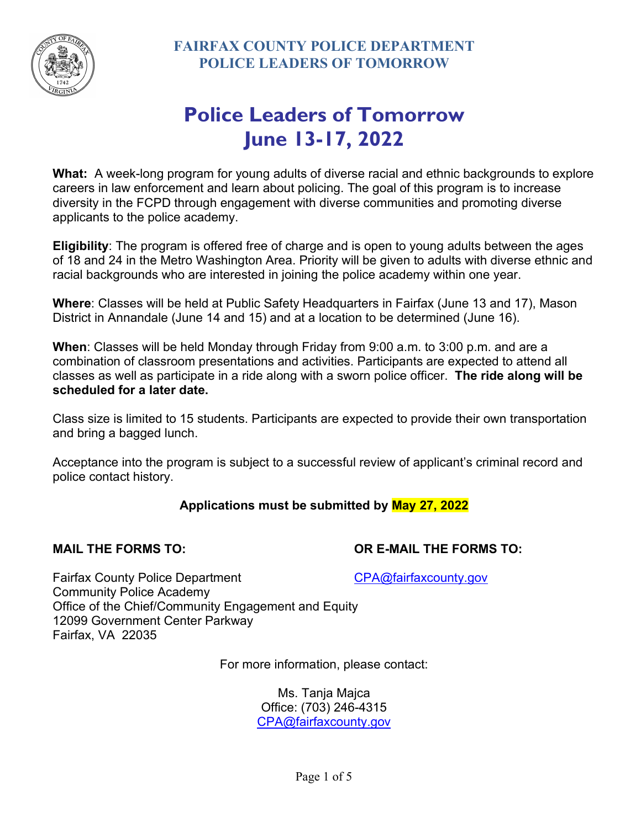

# **Police Leaders of Tomorrow June 13-17, 2022**

**What:** A week-long program for young adults of diverse racial and ethnic backgrounds to explore careers in law enforcement and learn about policing. The goal of this program is to increase diversity in the FCPD through engagement with diverse communities and promoting diverse applicants to the police academy.

**Eligibility**: The program is offered free of charge and is open to young adults between the ages of 18 and 24 in the Metro Washington Area. Priority will be given to adults with diverse ethnic and racial backgrounds who are interested in joining the police academy within one year.

**Where**: Classes will be held at Public Safety Headquarters in Fairfax (June 13 and 17), Mason District in Annandale (June 14 and 15) and at a location to be determined (June 16).

**When**: Classes will be held Monday through Friday from 9:00 a.m. to 3:00 p.m. and are a combination of classroom presentations and activities. Participants are expected to attend all classes as well as participate in a ride along with a sworn police officer. **The ride along will be scheduled for a later date.**

Class size is limited to 15 students. Participants are expected to provide their own transportation and bring a bagged lunch.

Acceptance into the program is subject to a successful review of applicant's criminal record and police contact history.

## **Applications must be submitted by May 27, 2022**

**MAIL THE FORMS TO: OR E-MAIL THE FORMS TO:**

Fairfax County Police Department CPA@fairfaxcounty.gov Community Police Academy Office of the Chief/Community Engagement and Equity 12099 Government Center Parkway Fairfax, VA 22035

For more information, please contact:

Ms. Tanja Majca Office: (703) 246-4315 CPA@fairfaxcounty.gov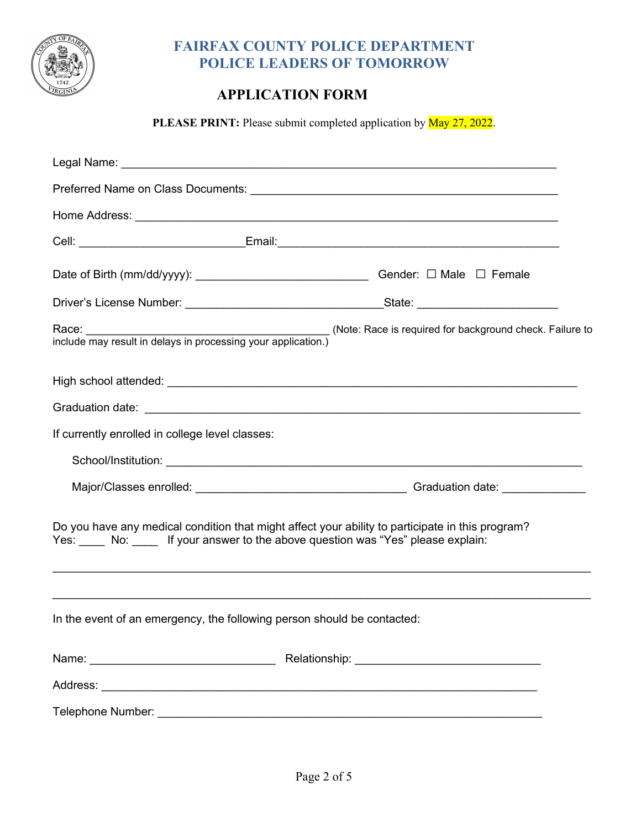

## **FAIRFAX COUNTY POLICE DEPARTMENT POLICE LEADERS OF TOMORROW**

## **APPLICATION FORM**

PLEASE PRINT: Please submit completed application by **May 27, 2022**.

|                                                                                                                                                                                         | Gender: $\Box$ Male $\Box$ Female |  |  |  |
|-----------------------------------------------------------------------------------------------------------------------------------------------------------------------------------------|-----------------------------------|--|--|--|
|                                                                                                                                                                                         |                                   |  |  |  |
|                                                                                                                                                                                         |                                   |  |  |  |
|                                                                                                                                                                                         |                                   |  |  |  |
|                                                                                                                                                                                         |                                   |  |  |  |
| If currently enrolled in college level classes:                                                                                                                                         |                                   |  |  |  |
|                                                                                                                                                                                         |                                   |  |  |  |
|                                                                                                                                                                                         |                                   |  |  |  |
| Do you have any medical condition that might affect your ability to participate in this program?<br>Yes: _____ No: _____ If your answer to the above question was "Yes" please explain: |                                   |  |  |  |
| ,我们也不能在这里的人,我们也不能在这里的人,我们也不能在这里的人,我们也不能不能不能不能不能。""我们的人,我们也不能不能不能不能不能不能不能不能不能不能不能<br>In the event of an emergency, the following person should be contacted:                             |                                   |  |  |  |
|                                                                                                                                                                                         |                                   |  |  |  |
|                                                                                                                                                                                         |                                   |  |  |  |
| Telephone Number:                                                                                                                                                                       |                                   |  |  |  |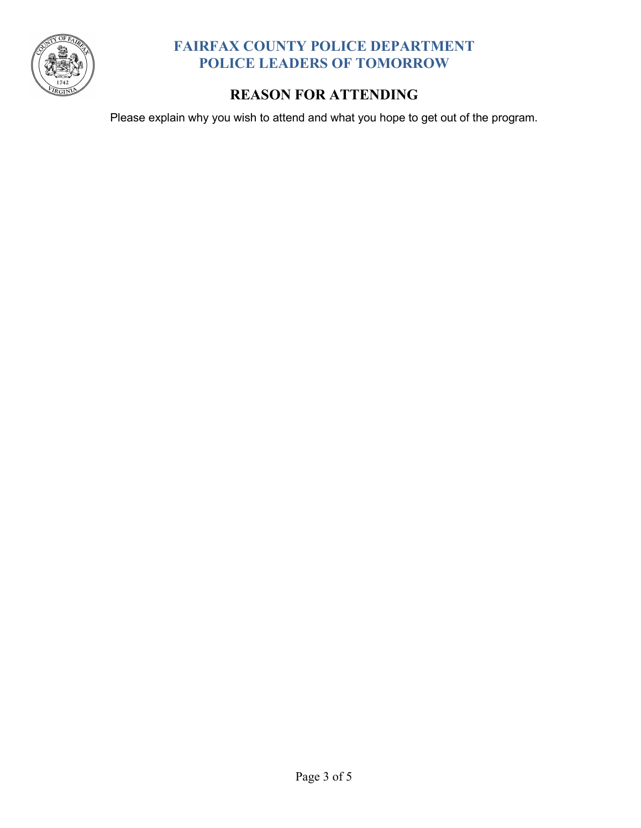

## **FAIRFAX COUNTY POLICE DEPARTMENT POLICE LEADERS OF TOMORROW**

## **REASON FOR ATTENDING**

Please explain why you wish to attend and what you hope to get out of the program.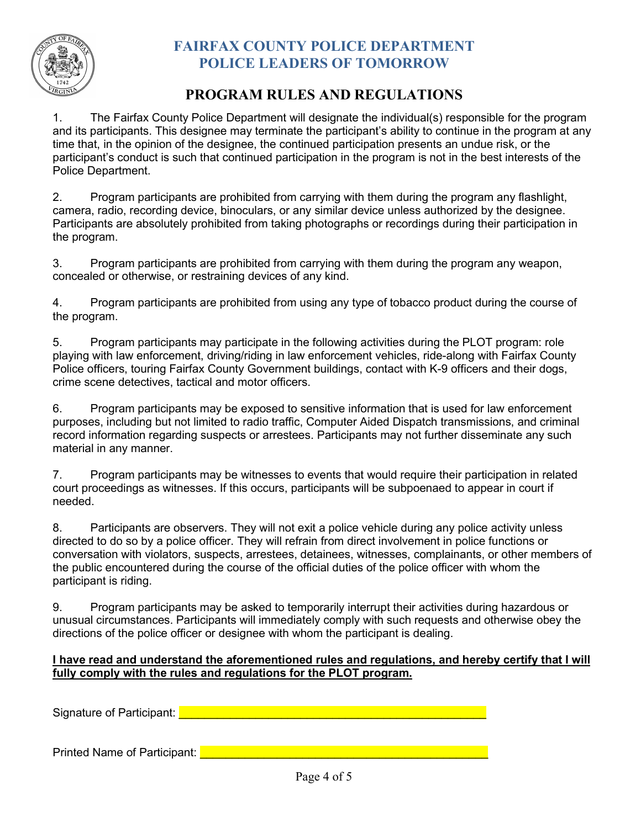

## **FAIRFAX COUNTY POLICE DEPARTMENT POLICE LEADERS OF TOMORROW**

## **PROGRAM RULES AND REGULATIONS**

1. The Fairfax County Police Department will designate the individual(s) responsible for the program and its participants. This designee may terminate the participant's ability to continue in the program at any time that, in the opinion of the designee, the continued participation presents an undue risk, or the participant's conduct is such that continued participation in the program is not in the best interests of the Police Department.

2. Program participants are prohibited from carrying with them during the program any flashlight, camera, radio, recording device, binoculars, or any similar device unless authorized by the designee. Participants are absolutely prohibited from taking photographs or recordings during their participation in the program.

3. Program participants are prohibited from carrying with them during the program any weapon, concealed or otherwise, or restraining devices of any kind.

4. Program participants are prohibited from using any type of tobacco product during the course of the program.

5. Program participants may participate in the following activities during the PLOT program: role playing with law enforcement, driving/riding in law enforcement vehicles, ride-along with Fairfax County Police officers, touring Fairfax County Government buildings, contact with K-9 officers and their dogs, crime scene detectives, tactical and motor officers.

6. Program participants may be exposed to sensitive information that is used for law enforcement purposes, including but not limited to radio traffic, Computer Aided Dispatch transmissions, and criminal record information regarding suspects or arrestees. Participants may not further disseminate any such material in any manner.

7. Program participants may be witnesses to events that would require their participation in related court proceedings as witnesses. If this occurs, participants will be subpoenaed to appear in court if needed.

8. Participants are observers. They will not exit a police vehicle during any police activity unless directed to do so by a police officer. They will refrain from direct involvement in police functions or conversation with violators, suspects, arrestees, detainees, witnesses, complainants, or other members of the public encountered during the course of the official duties of the police officer with whom the participant is riding.

9. Program participants may be asked to temporarily interrupt their activities during hazardous or unusual circumstances. Participants will immediately comply with such requests and otherwise obey the directions of the police officer or designee with whom the participant is dealing.

#### **I have read and understand the aforementioned rules and regulations, and hereby certify that I will fully comply with the rules and regulations for the PLOT program.**

Signature of Participant: **Exercise 2018** Contract 2018 Contract 2018 Contract 2018

Printed Name of Participant: **Latitude 10 April 10 April 10 April 10 April 10 April 10 April 10 April 10 April 10**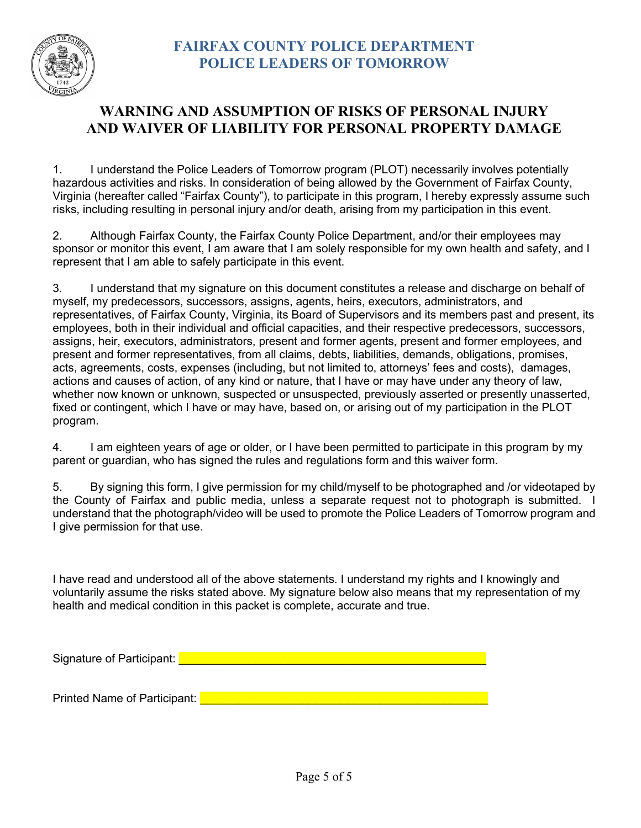

## **WARNING AND ASSUMPTION OF RISKS OF PERSONAL INJURY AND WAIVER OF LIABILITY FOR PERSONAL PROPERTY DAMAGE**

1. I understand the Police Leaders of Tomorrow program (PLOT) necessarily involves potentially hazardous activities and risks. In consideration of being allowed by the Government of Fairfax County, Virginia (hereafter called "Fairfax County"), to participate in this program, I hereby expressly assume such risks, including resulting in personal injury and/or death, arising from my participation in this event.

2. Although Fairfax County, the Fairfax County Police Department, and/or their employees may sponsor or monitor this event, I am aware that I am solely responsible for my own health and safety, and I represent that I am able to safely participate in this event.

3. I understand that my signature on this document constitutes a release and discharge on behalf of myself, my predecessors, successors, assigns, agents, heirs, executors, administrators, and representatives, of Fairfax County, Virginia, its Board of Supervisors and its members past and present, its employees, both in their individual and official capacities, and their respective predecessors, successors, assigns, heir, executors, administrators, present and former agents, present and former employees, and present and former representatives, from all claims, debts, liabilities, demands, obligations, promises, acts, agreements, costs, expenses (including, but not limited to, attorneys' fees and costs), damages, actions and causes of action, of any kind or nature, that I have or may have under any theory of law, whether now known or unknown, suspected or unsuspected, previously asserted or presently unasserted, fixed or contingent, which I have or may have, based on, or arising out of my participation in the PLOT program.

4. I am eighteen years of age or older, or I have been permitted to participate in this program by my parent or guardian, who has signed the rules and regulations form and this waiver form.

5. By signing this form, I give permission for my child/myself to be photographed and /or videotaped by the County of Fairfax and public media, unless a separate request not to photograph is submitted. I understand that the photograph/video will be used to promote the Police Leaders of Tomorrow program and I give permission for that use.

I have read and understood all of the above statements. I understand my rights and I knowingly and voluntarily assume the risks stated above. My signature below also means that my representation of my health and medical condition in this packet is complete, accurate and true.

Signature of Participant:

Printed Name of Participant: **Exercise 1998** and the set of the set of the set of the set of the set of the set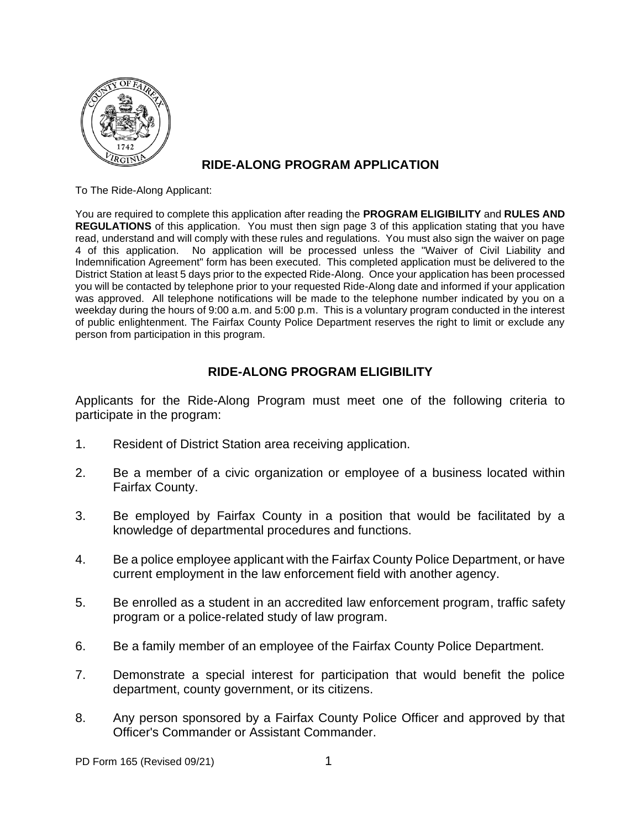

### **RIDE-ALONG PROGRAM APPLICATION**

To The Ride-Along Applicant:

You are required to complete this application after reading the **PROGRAM ELIGIBILITY** and **RULES AND REGULATIONS** of this application. You must then sign page 3 of this application stating that you have read, understand and will comply with these rules and regulations. You must also sign the waiver on page 4 of this application. No application will be processed unless the "Waiver of Civil Liability and Indemnification Agreement" form has been executed. This completed application must be delivered to the District Station at least 5 days prior to the expected Ride-Along. Once your application has been processed you will be contacted by telephone prior to your requested Ride-Along date and informed if your application was approved. All telephone notifications will be made to the telephone number indicated by you on a weekday during the hours of 9:00 a.m. and 5:00 p.m. This is a voluntary program conducted in the interest of public enlightenment. The Fairfax County Police Department reserves the right to limit or exclude any person from participation in this program.

#### **RIDE-ALONG PROGRAM ELIGIBILITY**

Applicants for the Ride-Along Program must meet one of the following criteria to participate in the program:

- 1. Resident of District Station area receiving application.
- 2. Be a member of a civic organization or employee of a business located within Fairfax County.
- 3. Be employed by Fairfax County in a position that would be facilitated by a knowledge of departmental procedures and functions.
- 4. Be a police employee applicant with the Fairfax County Police Department, or have current employment in the law enforcement field with another agency.
- 5. Be enrolled as a student in an accredited law enforcement program, traffic safety program or a police-related study of law program.
- 6. Be a family member of an employee of the Fairfax County Police Department.
- 7. Demonstrate a special interest for participation that would benefit the police department, county government, or its citizens.
- 8. Any person sponsored by a Fairfax County Police Officer and approved by that Officer's Commander or Assistant Commander.

PD Form 165 (Revised 09/21) 1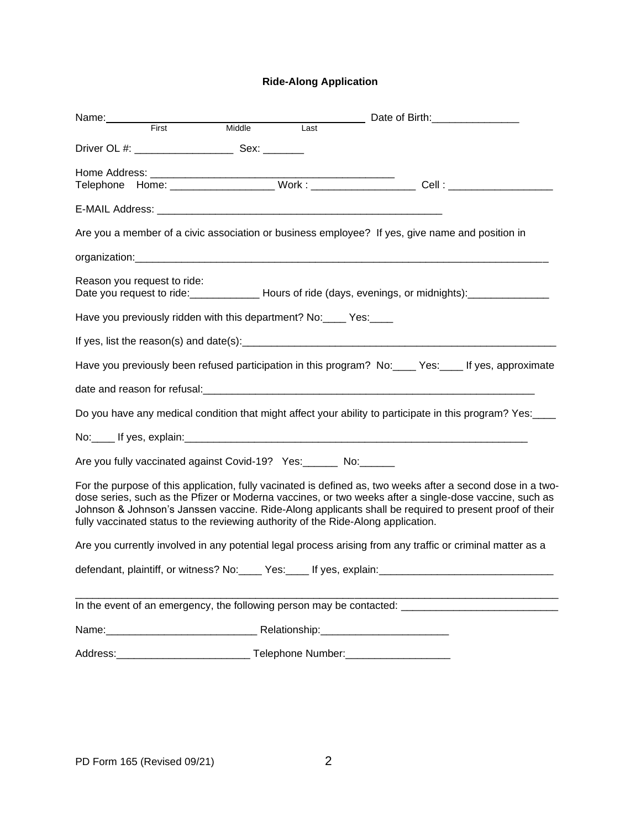#### **Ride-Along Application**

| Name:<br>First                                                                                                                                                                                                                                                                                                                                                                                                       |  |        |      | Date of Birth: <u>_____________________</u>                                                         |  |  |
|----------------------------------------------------------------------------------------------------------------------------------------------------------------------------------------------------------------------------------------------------------------------------------------------------------------------------------------------------------------------------------------------------------------------|--|--------|------|-----------------------------------------------------------------------------------------------------|--|--|
|                                                                                                                                                                                                                                                                                                                                                                                                                      |  | Middle | Last |                                                                                                     |  |  |
|                                                                                                                                                                                                                                                                                                                                                                                                                      |  |        |      |                                                                                                     |  |  |
|                                                                                                                                                                                                                                                                                                                                                                                                                      |  |        |      |                                                                                                     |  |  |
|                                                                                                                                                                                                                                                                                                                                                                                                                      |  |        |      |                                                                                                     |  |  |
|                                                                                                                                                                                                                                                                                                                                                                                                                      |  |        |      |                                                                                                     |  |  |
| Are you a member of a civic association or business employee? If yes, give name and position in                                                                                                                                                                                                                                                                                                                      |  |        |      |                                                                                                     |  |  |
|                                                                                                                                                                                                                                                                                                                                                                                                                      |  |        |      |                                                                                                     |  |  |
| Reason you request to ride:<br>Date you request to ride: _________________ Hours of ride (days, evenings, or midnights): _________                                                                                                                                                                                                                                                                                   |  |        |      |                                                                                                     |  |  |
| Have you previously ridden with this department? No: _____ Yes:                                                                                                                                                                                                                                                                                                                                                      |  |        |      |                                                                                                     |  |  |
|                                                                                                                                                                                                                                                                                                                                                                                                                      |  |        |      |                                                                                                     |  |  |
| Have you previously been refused participation in this program? No: Ves: Figure 16, approximate                                                                                                                                                                                                                                                                                                                      |  |        |      |                                                                                                     |  |  |
|                                                                                                                                                                                                                                                                                                                                                                                                                      |  |        |      |                                                                                                     |  |  |
| Do you have any medical condition that might affect your ability to participate in this program? Yes:                                                                                                                                                                                                                                                                                                                |  |        |      |                                                                                                     |  |  |
|                                                                                                                                                                                                                                                                                                                                                                                                                      |  |        |      |                                                                                                     |  |  |
| Are you fully vaccinated against Covid-19? Yes: No: No:                                                                                                                                                                                                                                                                                                                                                              |  |        |      |                                                                                                     |  |  |
| For the purpose of this application, fully vacinated is defined as, two weeks after a second dose in a two-<br>dose series, such as the Pfizer or Moderna vaccines, or two weeks after a single-dose vaccine, such as<br>Johnson & Johnson's Janssen vaccine. Ride-Along applicants shall be required to present proof of their<br>fully vaccinated status to the reviewing authority of the Ride-Along application. |  |        |      |                                                                                                     |  |  |
| Are you currently involved in any potential legal process arising from any traffic or criminal matter as a                                                                                                                                                                                                                                                                                                           |  |        |      |                                                                                                     |  |  |
|                                                                                                                                                                                                                                                                                                                                                                                                                      |  |        |      | defendant, plaintiff, or witness? No: _____ Yes: _____ If yes, explain: ___________________________ |  |  |
|                                                                                                                                                                                                                                                                                                                                                                                                                      |  |        |      |                                                                                                     |  |  |
|                                                                                                                                                                                                                                                                                                                                                                                                                      |  |        |      |                                                                                                     |  |  |
|                                                                                                                                                                                                                                                                                                                                                                                                                      |  |        |      |                                                                                                     |  |  |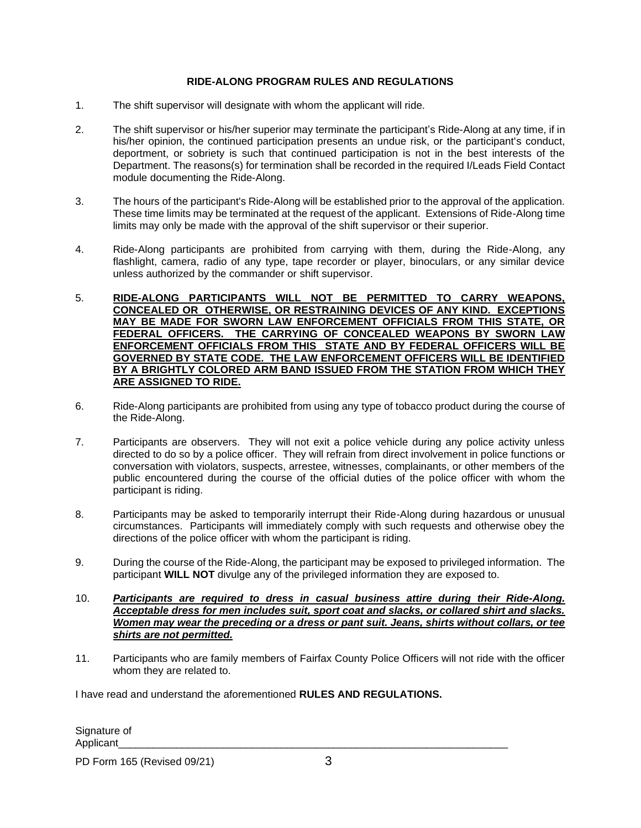#### **RIDE-ALONG PROGRAM RULES AND REGULATIONS**

- 1. The shift supervisor will designate with whom the applicant will ride.
- 2. The shift supervisor or his/her superior may terminate the participant's Ride-Along at any time, if in his/her opinion, the continued participation presents an undue risk, or the participant's conduct, deportment, or sobriety is such that continued participation is not in the best interests of the Department. The reasons(s) for termination shall be recorded in the required I/Leads Field Contact module documenting the Ride-Along.
- 3. The hours of the participant's Ride-Along will be established prior to the approval of the application. These time limits may be terminated at the request of the applicant. Extensions of Ride-Along time limits may only be made with the approval of the shift supervisor or their superior.
- 4. Ride-Along participants are prohibited from carrying with them, during the Ride-Along, any flashlight, camera, radio of any type, tape recorder or player, binoculars, or any similar device unless authorized by the commander or shift supervisor.
- 5. **RIDE-ALONG PARTICIPANTS WILL NOT BE PERMITTED TO CARRY WEAPONS, CONCEALED OR OTHERWISE, OR RESTRAINING DEVICES OF ANY KIND. EXCEPTIONS MAY BE MADE FOR SWORN LAW ENFORCEMENT OFFICIALS FROM THIS STATE, OR FEDERAL OFFICERS. THE CARRYING OF CONCEALED WEAPONS BY SWORN LAW ENFORCEMENT OFFICIALS FROM THIS STATE AND BY FEDERAL OFFICERS WILL BE GOVERNED BY STATE CODE. THE LAW ENFORCEMENT OFFICERS WILL BE IDENTIFIED BY A BRIGHTLY COLORED ARM BAND ISSUED FROM THE STATION FROM WHICH THEY ARE ASSIGNED TO RIDE.**
- 6. Ride-Along participants are prohibited from using any type of tobacco product during the course of the Ride-Along.
- 7. Participants are observers. They will not exit a police vehicle during any police activity unless directed to do so by a police officer. They will refrain from direct involvement in police functions or conversation with violators, suspects, arrestee, witnesses, complainants, or other members of the public encountered during the course of the official duties of the police officer with whom the participant is riding.
- 8. Participants may be asked to temporarily interrupt their Ride-Along during hazardous or unusual circumstances. Participants will immediately comply with such requests and otherwise obey the directions of the police officer with whom the participant is riding.
- 9. During the course of the Ride-Along, the participant may be exposed to privileged information. The participant **WILL NOT** divulge any of the privileged information they are exposed to.
- 10. *Participants are required to dress in casual business attire during their Ride-Along. Acceptable dress for men includes suit, sport coat and slacks, or collared shirt and slacks. Women may wear the preceding or a dress or pant suit. Jeans, shirts without collars, or tee shirts are not permitted.*
- 11. Participants who are family members of Fairfax County Police Officers will not ride with the officer whom they are related to.

I have read and understand the aforementioned **RULES AND REGULATIONS.**

Signature of Applicant\_\_\_\_\_\_\_\_\_\_\_\_\_\_\_\_\_\_\_\_\_\_\_\_\_\_\_\_\_\_\_\_\_\_\_\_\_\_\_\_\_\_\_\_\_\_\_\_\_\_\_\_\_\_\_\_\_\_\_\_\_\_\_\_\_\_\_

PD Form 165 (Revised 09/21) 3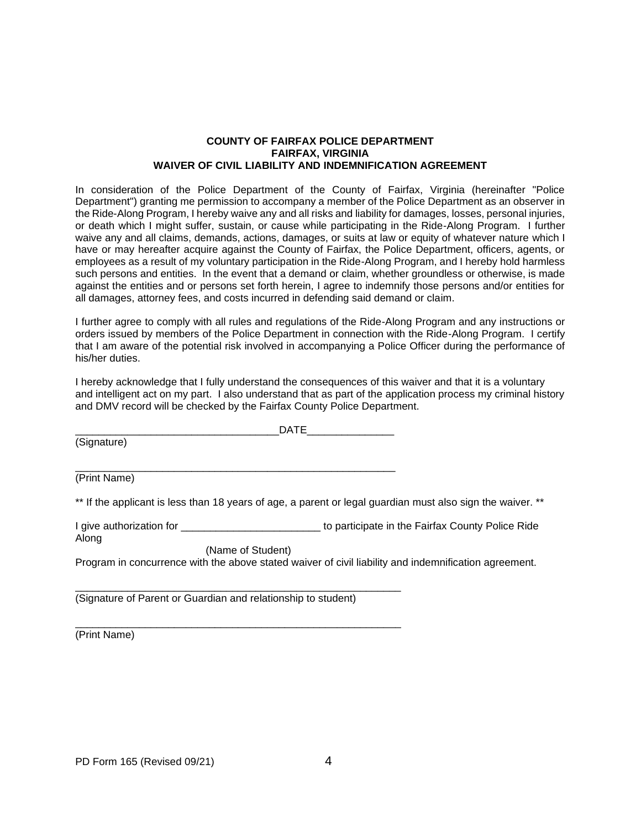#### **COUNTY OF FAIRFAX POLICE DEPARTMENT FAIRFAX, VIRGINIA WAIVER OF CIVIL LIABILITY AND INDEMNIFICATION AGREEMENT**

In consideration of the Police Department of the County of Fairfax, Virginia (hereinafter "Police Department") granting me permission to accompany a member of the Police Department as an observer in the Ride-Along Program, I hereby waive any and all risks and liability for damages, losses, personal injuries, or death which I might suffer, sustain, or cause while participating in the Ride-Along Program. I further waive any and all claims, demands, actions, damages, or suits at law or equity of whatever nature which I have or may hereafter acquire against the County of Fairfax, the Police Department, officers, agents, or employees as a result of my voluntary participation in the Ride-Along Program, and I hereby hold harmless such persons and entities. In the event that a demand or claim, whether groundless or otherwise, is made against the entities and or persons set forth herein, I agree to indemnify those persons and/or entities for all damages, attorney fees, and costs incurred in defending said demand or claim.

I further agree to comply with all rules and regulations of the Ride-Along Program and any instructions or orders issued by members of the Police Department in connection with the Ride-Along Program. I certify that I am aware of the potential risk involved in accompanying a Police Officer during the performance of his/her duties.

I hereby acknowledge that I fully understand the consequences of this waiver and that it is a voluntary and intelligent act on my part. I also understand that as part of the application process my criminal history and DMV record will be checked by the Fairfax County Police Department.

 $_{\rm {DATE}}$ (Signature) \_\_\_\_\_\_\_\_\_\_\_\_\_\_\_\_\_\_\_\_\_\_\_\_\_\_\_\_\_\_\_\_\_\_\_\_\_\_\_\_\_\_\_\_\_\_\_\_\_\_\_\_\_\_\_

(Print Name)

\*\* If the applicant is less than 18 years of age, a parent or legal guardian must also sign the waiver. \*\*

I give authorization for **Example 20** is to participate in the Fairfax County Police Ride Along

(Name of Student)

\_\_\_\_\_\_\_\_\_\_\_\_\_\_\_\_\_\_\_\_\_\_\_\_\_\_\_\_\_\_\_\_\_\_\_\_\_\_\_\_\_\_\_\_\_\_\_\_\_\_\_\_\_\_\_\_

\_\_\_\_\_\_\_\_\_\_\_\_\_\_\_\_\_\_\_\_\_\_\_\_\_\_\_\_\_\_\_\_\_\_\_\_\_\_\_\_\_\_\_\_\_\_\_\_\_\_\_\_\_\_\_\_

Program in concurrence with the above stated waiver of civil liability and indemnification agreement.

(Signature of Parent or Guardian and relationship to student)

(Print Name)